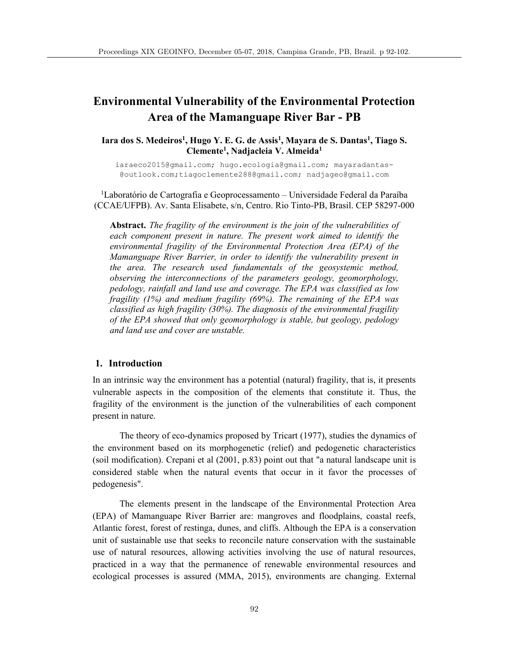# **Environmental Vulnerability of the Environmental Protection Area of the Mamanguape River Bar - PB**

Iara dos S. Medeiros<sup>1</sup>, Hugo Y. E. G. de Assis<sup>1</sup>, Mayara de S. Dantas<sup>1</sup>, Tiago S. **Clemente1, Nadjacleia V. Almeida1**

iaraeco2015@gmail.com; hugo.ecologia@gmail.com; mayaradantas- @outlook.com;tiagoclemente288@gmail.com; nadjageo@gmail.com

<sup>1</sup>Laboratório de Cartografia e Geoprocessamento - Universidade Federal da Paraíba (CCAE/UFPB). Av. Santa Elisabete, s/n, Centro. Rio Tinto-PB, Brasil. CEP 58297-000

**Abstract.** *The fragility of the environment is the join of the vulnerabilities of each component present in nature. The present work aimed to identify the environmental fragility of the Environmental Protection Area (EPA) of the Mamanguape River Barrier, in order to identify the vulnerability present in the area. The research used fundamentals of the geosystemic method, observing the interconnections of the parameters geology, geomorphology, pedology, rainfall and land use and coverage. The EPA was classified as low fragility (1%) and medium fragility (69%). The remaining of the EPA was classified as high fragility (30%). The diagnosis of the environmental fragility of the EPA showed that only geomorphology is stable, but geology, pedology and land use and cover are unstable.*

# **1. Introduction**

In an intrinsic way the environment has a potential (natural) fragility, that is, it presents vulnerable aspects in the composition of the elements that constitute it. Thus, the fragility of the environment is the junction of the vulnerabilities of each component present in nature.

The theory of eco-dynamics proposed by Tricart (1977), studies the dynamics of the environment based on its morphogenetic (relief) and pedogenetic characteristics (soil modification). Crepani et al (2001, p.83) point out that "a natural landscape unit is considered stable when the natural events that occur in it favor the processes of pedogenesis".

The elements present in the landscape of the Environmental Protection Area (EPA) of Mamanguape River Barrier are: mangroves and floodplains, coastal reefs, Atlantic forest, forest of restinga, dunes, and cliffs. Although the EPA is a conservation unit of sustainable use that seeks to reconcile nature conservation with the sustainable use of natural resources, allowing activities involving the use of natural resources, practiced in a way that the permanence of renewable environmental resources and ecological processes is assured (MMA, 2015), environments are changing. External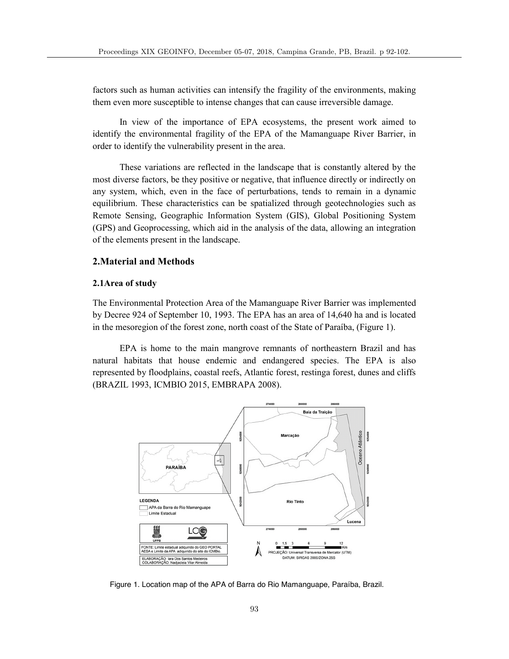factors such as human activities can intensify the fragility of the environments, making them even more susceptible to intense changes that can cause irreversible damage.

In view of the importance of EPA ecosystems, the present work aimed to identify the environmental fragility of the EPA of the Mamanguape River Barrier, in order to identify the vulnerability present in the area.

These variations are reflected in the landscape that is constantly altered by the most diverse factors, be they positive or negative, that influence directly or indirectly on any system, which, even in the face of perturbations, tends to remain in a dynamic equilibrium. These characteristics can be spatialized through geotechnologies such as Remote Sensing, Geographic Information System (GIS), Global Positioning System (GPS) and Geoprocessing, which aid in the analysis of the data, allowing an integration of the elements present in the landscape.

# **2.Material and Methods**

## **2.1Area of study**

The Environmental Protection Area of the Mamanguape River Barrier was implemented by Decree 924 of September 10, 1993. The EPA has an area of 14,640 ha and is located in the mesoregion of the forest zone, north coast of the State of Paraíba, (Figure 1).

EPA is home to the main mangrove remnants of northeastern Brazil and has natural habitats that house endemic and endangered species. The EPA is also represented by floodplains, coastal reefs, Atlantic forest, restinga forest, dunes and cliffs (BRAZIL 1993, ICMBIO 2015, EMBRAPA 2008).



Figure 1. Location map of the APA of Barra do Rio Mamanguape, Paraíba, Brazil.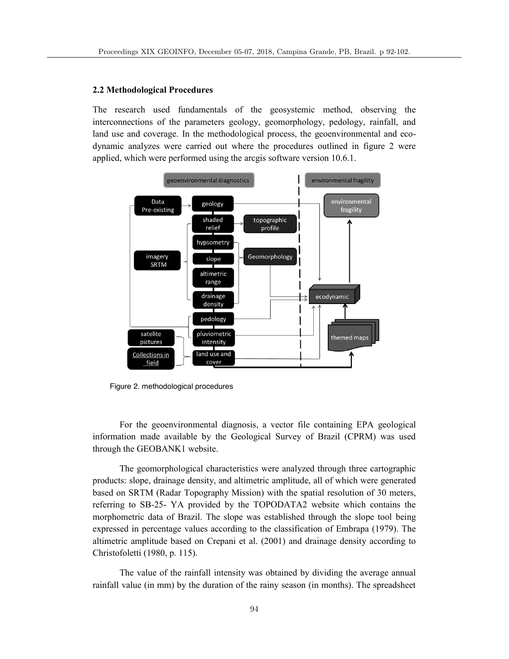#### **2.2 Methodological Procedures**

The research used fundamentals of the geosystemic method, observing the interconnections of the parameters geology, geomorphology, pedology, rainfall, and land use and coverage. In the methodological process, the geoenvironmental and ecodynamic analyzes were carried out where the procedures outlined in figure 2 were applied, which were performed using the arcgis software version 10.6.1.



Figure 2. methodological procedures

For the geoenvironmental diagnosis, a vector file containing EPA geological information made available by the Geological Survey of Brazil (CPRM) was used through the GEOBANK1 website.

The geomorphological characteristics were analyzed through three cartographic products: slope, drainage density, and altimetric amplitude, all of which were generated based on SRTM (Radar Topography Mission) with the spatial resolution of 30 meters, referring to SB-25- YA provided by the TOPODATA2 website which contains the morphometric data of Brazil. The slope was established through the slope tool being expressed in percentage values according to the classification of Embrapa (1979). The altimetric amplitude based on Crepani et al. (2001) and drainage density according to Christofoletti (1980, p. 115).

The value of the rainfall intensity was obtained by dividing the average annual rainfall value (in mm) by the duration of the rainy season (in months). The spreadsheet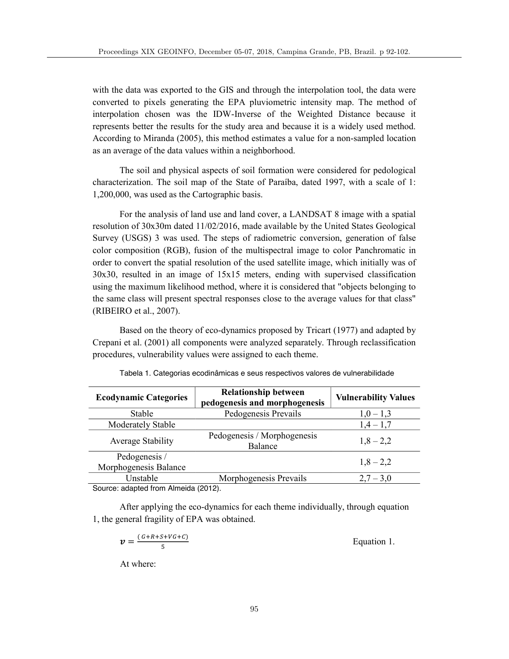with the data was exported to the GIS and through the interpolation tool, the data were converted to pixels generating the EPA pluviometric intensity map. The method of interpolation chosen was the IDW-Inverse of the Weighted Distance because it represents better the results for the study area and because it is a widely used method. According to Miranda (2005), this method estimates a value for a non-sampled location as an average of the data values within a neighborhood.

The soil and physical aspects of soil formation were considered for pedological characterization. The soil map of the State of Paraíba, dated 1997, with a scale of 1: 1,200,000, was used as the Cartographic basis.

For the analysis of land use and land cover, a LANDSAT 8 image with a spatial resolution of 30x30m dated 11/02/2016, made available by the United States Geological Survey (USGS) 3 was used. The steps of radiometric conversion, generation of false color composition (RGB), fusion of the multispectral image to color Panchromatic in order to convert the spatial resolution of the used satellite image, which initially was of 30x30, resulted in an image of 15x15 meters, ending with supervised classification using the maximum likelihood method, where it is considered that "objects belonging to the same class will present spectral responses close to the average values for that class" (RIBEIRO et al., 2007).

Based on the theory of eco-dynamics proposed by Tricart (1977) and adapted by Crepani et al. (2001) all components were analyzed separately. Through reclassification procedures, vulnerability values were assigned to each theme.

| <b>Ecodynamic Categories</b>           | <b>Relationship between</b><br>pedogenesis and morphogenesis | <b>Vulnerability Values</b> |
|----------------------------------------|--------------------------------------------------------------|-----------------------------|
| Stable                                 | Pedogenesis Prevails                                         | $1,0-1,3$                   |
| Moderately Stable                      |                                                              | $1,4-1,7$                   |
| Average Stability                      | Pedogenesis / Morphogenesis<br>Balance                       | $1,8 - 2,2$                 |
| Pedogenesis /<br>Morphogenesis Balance |                                                              | $1,8 - 2,2$                 |
| Unstable                               | Morphogenesis Prevails                                       | $2,7 - 3,0$                 |
| Cource: adapted from Almoida (2012)    |                                                              |                             |

Tabela 1. Categorias ecodinâmicas e seus respectivos valores de vulnerabilidade

Source: adapted from Almeida (2012).

After applying the eco-dynamics for each theme individually, through equation 1, the general fragility of EPA was obtained.

| $(G+R+S+VG+C)$<br>$\boldsymbol{v} =$ | Equation 1. |
|--------------------------------------|-------------|
|--------------------------------------|-------------|

At where: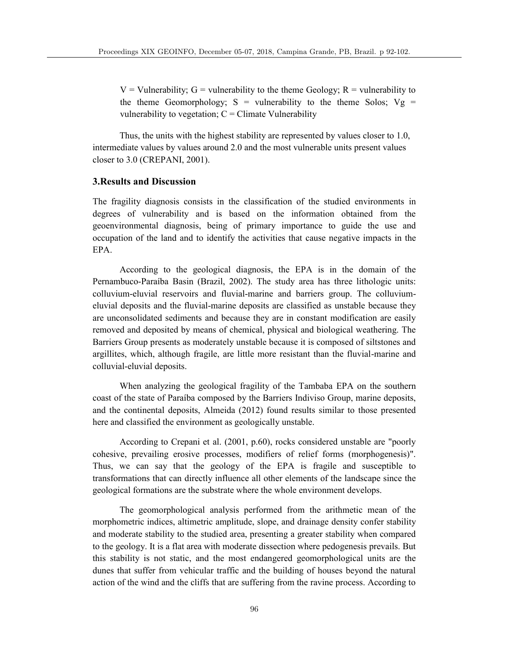$V =$  Vulnerability;  $G =$  vulnerability to the theme Geology;  $R =$  vulnerability to the theme Geomorphology;  $S =$  vulnerability to the theme Solos;  $Vg =$ vulnerability to vegetation;  $C =$  Climate Vulnerability

Thus, the units with the highest stability are represented by values closer to 1.0, intermediate values by values around 2.0 and the most vulnerable units present values closer to 3.0 (CREPANI, 2001).

# **3.Results and Discussion**

The fragility diagnosis consists in the classification of the studied environments in degrees of vulnerability and is based on the information obtained from the geoenvironmental diagnosis, being of primary importance to guide the use and occupation of the land and to identify the activities that cause negative impacts in the EPA.

According to the geological diagnosis, the EPA is in the domain of the Pernambuco-Paraíba Basin (Brazil, 2002). The study area has three lithologic units: colluvium-eluvial reservoirs and fluvial-marine and barriers group. The colluviumeluvial deposits and the fluvial-marine deposits are classified as unstable because they are unconsolidated sediments and because they are in constant modification are easily removed and deposited by means of chemical, physical and biological weathering. The Barriers Group presents as moderately unstable because it is composed of siltstones and argillites, which, although fragile, are little more resistant than the fluvial-marine and colluvial-eluvial deposits.

When analyzing the geological fragility of the Tambaba EPA on the southern coast of the state of Paraíba composed by the Barriers Indiviso Group, marine deposits, and the continental deposits, Almeida (2012) found results similar to those presented here and classified the environment as geologically unstable.

According to Crepani et al. (2001, p.60), rocks considered unstable are "poorly cohesive, prevailing erosive processes, modifiers of relief forms (morphogenesis)". Thus, we can say that the geology of the EPA is fragile and susceptible to transformations that can directly influence all other elements of the landscape since the geological formations are the substrate where the whole environment develops.

The geomorphological analysis performed from the arithmetic mean of the morphometric indices, altimetric amplitude, slope, and drainage density confer stability and moderate stability to the studied area, presenting a greater stability when compared to the geology. It is a flat area with moderate dissection where pedogenesis prevails. But this stability is not static, and the most endangered geomorphological units are the dunes that suffer from vehicular traffic and the building of houses beyond the natural action of the wind and the cliffs that are suffering from the ravine process. According to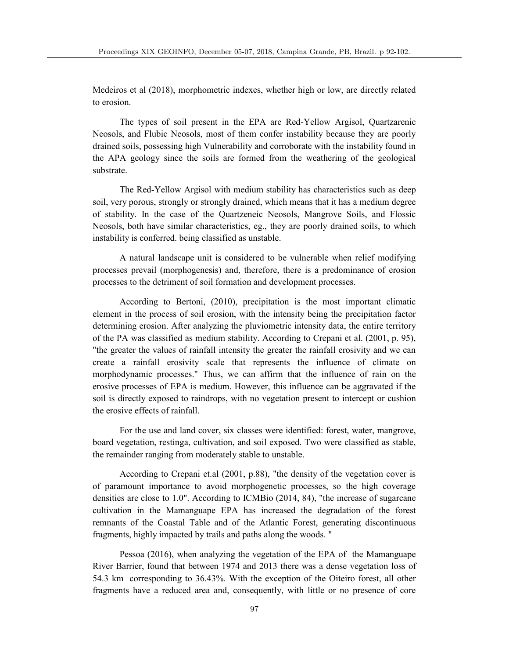Medeiros et al (2018), morphometric indexes, whether high or low, are directly related to erosion.

The types of soil present in the EPA are Red-Yellow Argisol, Quartzarenic Neosols, and Flubic Neosols, most of them confer instability because they are poorly drained soils, possessing high Vulnerability and corroborate with the instability found in the APA geology since the soils are formed from the weathering of the geological substrate.

The Red-Yellow Argisol with medium stability has characteristics such as deep soil, very porous, strongly or strongly drained, which means that it has a medium degree of stability. In the case of the Quartzeneic Neosols, Mangrove Soils, and Flossic Neosols, both have similar characteristics, eg., they are poorly drained soils, to which instability is conferred. being classified as unstable.

A natural landscape unit is considered to be vulnerable when relief modifying processes prevail (morphogenesis) and, therefore, there is a predominance of erosion processes to the detriment of soil formation and development processes.

According to Bertoni, (2010), precipitation is the most important climatic element in the process of soil erosion, with the intensity being the precipitation factor determining erosion. After analyzing the pluviometric intensity data, the entire territory of the PA was classified as medium stability. According to Crepani et al. (2001, p. 95), "the greater the values of rainfall intensity the greater the rainfall erosivity and we can create a rainfall erosivity scale that represents the influence of climate on morphodynamic processes." Thus, we can affirm that the influence of rain on the erosive processes of EPA is medium. However, this influence can be aggravated if the soil is directly exposed to raindrops, with no vegetation present to intercept or cushion the erosive effects of rainfall.

For the use and land cover, six classes were identified: forest, water, mangrove, board vegetation, restinga, cultivation, and soil exposed. Two were classified as stable, the remainder ranging from moderately stable to unstable.

According to Crepani et.al (2001, p.88), "the density of the vegetation cover is of paramount importance to avoid morphogenetic processes, so the high coverage densities are close to 1.0". According to ICMBio (2014, 84), "the increase of sugarcane cultivation in the Mamanguape EPA has increased the degradation of the forest remnants of the Coastal Table and of the Atlantic Forest, generating discontinuous fragments, highly impacted by trails and paths along the woods. "

Pessoa (2016), when analyzing the vegetation of the EPA of the Mamanguape River Barrier, found that between 1974 and 2013 there was a dense vegetation loss of 54.3 km corresponding to 36.43%. With the exception of the Oiteiro forest, all other fragments have a reduced area and, consequently, with little or no presence of core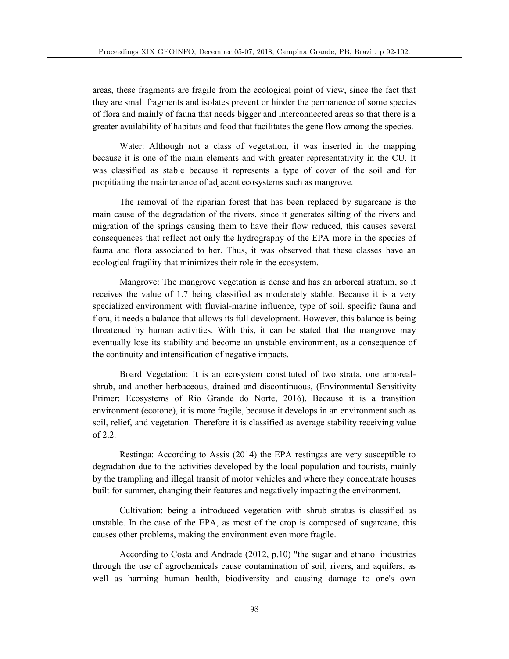areas, these fragments are fragile from the ecological point of view, since the fact that they are small fragments and isolates prevent or hinder the permanence of some species of flora and mainly of fauna that needs bigger and interconnected areas so that there is a greater availability of habitats and food that facilitates the gene flow among the species.

Water: Although not a class of vegetation, it was inserted in the mapping because it is one of the main elements and with greater representativity in the CU. It was classified as stable because it represents a type of cover of the soil and for propitiating the maintenance of adjacent ecosystems such as mangrove.

The removal of the riparian forest that has been replaced by sugarcane is the main cause of the degradation of the rivers, since it generates silting of the rivers and migration of the springs causing them to have their flow reduced, this causes several consequences that reflect not only the hydrography of the EPA more in the species of fauna and flora associated to her. Thus, it was observed that these classes have an ecological fragility that minimizes their role in the ecosystem.

Mangrove: The mangrove vegetation is dense and has an arboreal stratum, so it receives the value of 1.7 being classified as moderately stable. Because it is a very specialized environment with fluvial-marine influence, type of soil, specific fauna and flora, it needs a balance that allows its full development. However, this balance is being threatened by human activities. With this, it can be stated that the mangrove may eventually lose its stability and become an unstable environment, as a consequence of the continuity and intensification of negative impacts.

Board Vegetation: It is an ecosystem constituted of two strata, one arborealshrub, and another herbaceous, drained and discontinuous, (Environmental Sensitivity Primer: Ecosystems of Rio Grande do Norte, 2016). Because it is a transition environment (ecotone), it is more fragile, because it develops in an environment such as soil, relief, and vegetation. Therefore it is classified as average stability receiving value of 2.2.

Restinga: According to Assis (2014) the EPA restingas are very susceptible to degradation due to the activities developed by the local population and tourists, mainly by the trampling and illegal transit of motor vehicles and where they concentrate houses built for summer, changing their features and negatively impacting the environment.

Cultivation: being a introduced vegetation with shrub stratus is classified as unstable. In the case of the EPA, as most of the crop is composed of sugarcane, this causes other problems, making the environment even more fragile.

According to Costa and Andrade (2012, p.10) "the sugar and ethanol industries through the use of agrochemicals cause contamination of soil, rivers, and aquifers, as well as harming human health, biodiversity and causing damage to one's own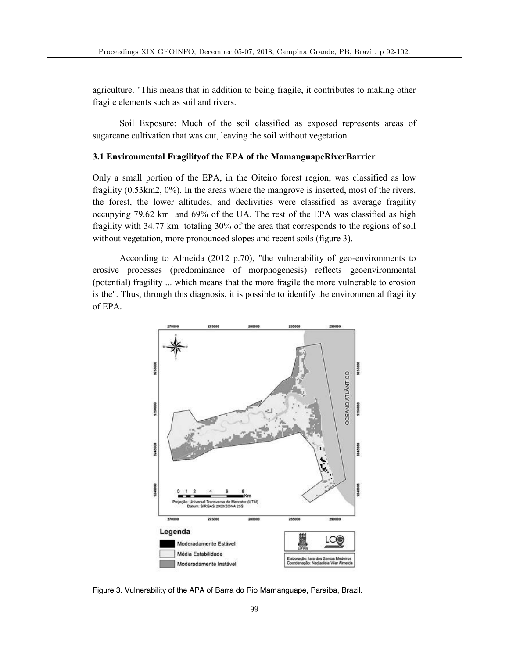agriculture. "This means that in addition to being fragile, it contributes to making other fragile elements such as soil and rivers.

Soil Exposure: Much of the soil classified as exposed represents areas of sugarcane cultivation that was cut, leaving the soil without vegetation.

## **3.1 Environmental Fragilityof the EPA of the MamanguapeRiverBarrier**

Only a small portion of the EPA, in the Oiteiro forest region, was classified as low fragility (0.53km2, 0%). In the areas where the mangrove is inserted, most of the rivers, the forest, the lower altitudes, and declivities were classified as average fragility occupying 79.62 km and 69% of the UA. The rest of the EPA was classified as high fragility with 34.77 km totaling 30% of the area that corresponds to the regions of soil without vegetation, more pronounced slopes and recent soils (figure 3).

According to Almeida (2012 p.70), "the vulnerability of geo-environments to erosive processes (predominance of morphogenesis) reflects geoenvironmental (potential) fragility ... which means that the more fragile the more vulnerable to erosion is the". Thus, through this diagnosis, it is possible to identify the environmental fragility of EPA.



Figure 3. Vulnerability of the APA of Barra do Rio Mamanguape, Paraíba, Brazil.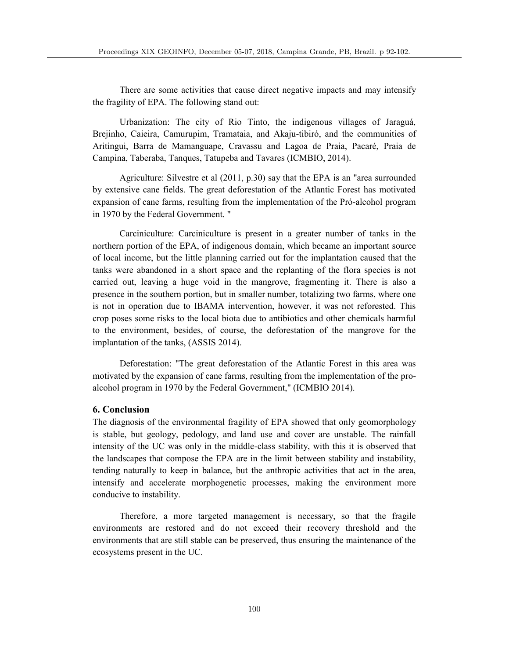There are some activities that cause direct negative impacts and may intensify the fragility of EPA. The following stand out:

Urbanization: The city of Rio Tinto, the indigenous villages of Jaraguá, Brejinho, Caieira, Camurupim, Tramataia, and Akaju-tibiró, and the communities of Aritingui, Barra de Mamanguape, Cravassu and Lagoa de Praia, Pacaré, Praia de Campina, Taberaba, Tanques, Tatupeba and Tavares (ICMBIO, 2014).

Agriculture: Silvestre et al (2011, p.30) say that the EPA is an "area surrounded by extensive cane fields. The great deforestation of the Atlantic Forest has motivated expansion of cane farms, resulting from the implementation of the Pró-alcohol program in 1970 by the Federal Government. "

Carciniculture: Carciniculture is present in a greater number of tanks in the northern portion of the EPA, of indigenous domain, which became an important source of local income, but the little planning carried out for the implantation caused that the tanks were abandoned in a short space and the replanting of the flora species is not carried out, leaving a huge void in the mangrove, fragmenting it. There is also a presence in the southern portion, but in smaller number, totalizing two farms, where one is not in operation due to IBAMA intervention, however, it was not reforested. This crop poses some risks to the local biota due to antibiotics and other chemicals harmful to the environment, besides, of course, the deforestation of the mangrove for the implantation of the tanks, (ASSIS 2014).

Deforestation: "The great deforestation of the Atlantic Forest in this area was motivated by the expansion of cane farms, resulting from the implementation of the proalcohol program in 1970 by the Federal Government," (ICMBIO 2014).

## **6. Conclusion**

The diagnosis of the environmental fragility of EPA showed that only geomorphology is stable, but geology, pedology, and land use and cover are unstable. The rainfall intensity of the UC was only in the middle-class stability, with this it is observed that the landscapes that compose the EPA are in the limit between stability and instability, tending naturally to keep in balance, but the anthropic activities that act in the area, intensify and accelerate morphogenetic processes, making the environment more conducive to instability.

Therefore, a more targeted management is necessary, so that the fragile environments are restored and do not exceed their recovery threshold and the environments that are still stable can be preserved, thus ensuring the maintenance of the ecosystems present in the UC.